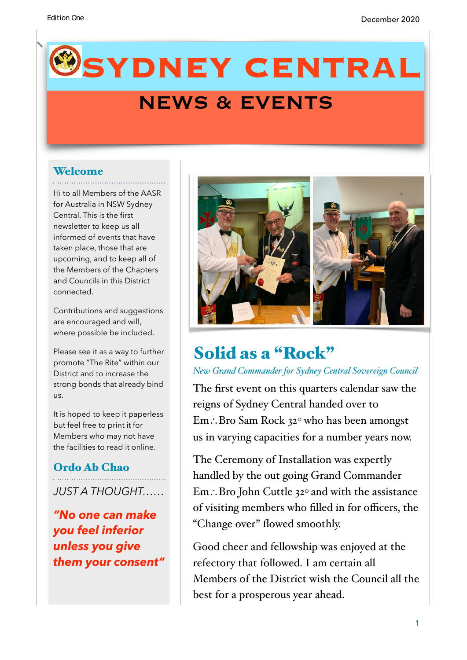# **SYDNEY CENTRAL**

## NEWS & EVENTS

#### Welcome

Hi to all Members of the AASR for Australia in NSW Sydney Central. This is the first newsletter to keep us all informed of events that have taken place, those that are upcoming, and to keep all of the Members of the Chapters and Councils in this District connected.

Contributions and suggestions are encouraged and will, where possible be included.

Please see it as a way to further promote "The Rite" within our District and to increase the strong bonds that already bind us.

It is hoped to keep it paperless but feel free to print it for Members who may not have the facilities to read it online.

#### Ordo Ab Chao

*JUST A THOUGHT……* 

*"No one can make you feel inferior unless you give them your consent"* 



## Solid as a "Rock"

#### *New Grand Commander for Sydney Central Sovereign Council*

The first event on this quarters calendar saw the reigns of Sydney Central handed over to Em∴Bro Sam Rock 320 who has been amongst us in varying capacities for a number years now.

The Ceremony of Installation was expertly handled by the out going Grand Commander Em∴Bro John Cuttle 320 and with the assistance of visiting members who filled in for officers, the "Change over" flowed smoothly.

Good cheer and fellowship was enjoyed at the refectory that followed. I am certain all Members of the District wish the Council all the best for a prosperous year ahead.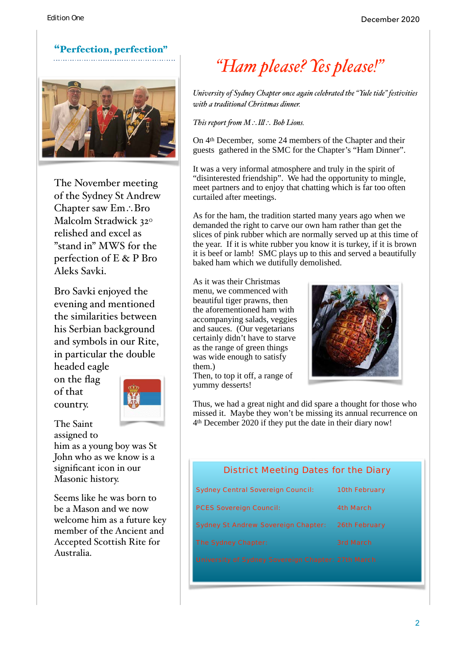

The November meeting of the Sydney St Andrew Chapter saw Em∴Bro Malcolm Stradwick 32° relished and excel as "stand in" MWS for the perfection of E & P Bro Aleks Savki.

Bro Savki enjoyed the evening and mentioned the similarities between his Serbian background and symbols in our Rite, in particular the double headed eagle

on the flag of that country.

The Saint



assigned to him as a young boy was St John who as we know is a significant icon in our Masonic history.

Seems like he was born to be a Mason and we now welcome him as a future key member of the Ancient and Accepted Scottish Rite for Australia.

## *"Ham please? Yes please!"*

*University of Sydney Chapter once again celebrated the "Yule tide" festivities with a traditional Christmas dinner.* 

*This report fom M*∴*Il*∴ *Bob Lions.*

On 4th December, some 24 members of the Chapter and their guests gathered in the SMC for the Chapter's "Ham Dinner".

It was a very informal atmosphere and truly in the spirit of "disinterested friendship". We had the opportunity to mingle, meet partners and to enjoy that chatting which is far too often curtailed after meetings.

As for the ham, the tradition started many years ago when we demanded the right to carve our own ham rather than get the slices of pink rubber which are normally served up at this time of the year. If it is white rubber you know it is turkey, if it is brown it is beef or lamb! SMC plays up to this and served a beautifully baked ham which we dutifully demolished.

As it was their Christmas menu, we commenced with beautiful tiger prawns, then the aforementioned ham with accompanying salads, veggies and sauces. (Our vegetarians certainly didn't have to starve as the range of green things was wide enough to satisfy them.) Then, to top it off, a range of

yummy desserts!



Thus, we had a great night and did spare a thought for those who missed it. Maybe they won't be missing its annual recurrence on 4th December 2020 if they put the date in their diary now!

#### District Meeting Dates for the Diary

| <b>Sydney Central Sovereign Council:</b>           | <b>10th February</b> |
|----------------------------------------------------|----------------------|
| <b>PCES Sovereign Council:</b>                     | <b>4th March</b>     |
| <b>Sydney St Andrew Sovereign Chapter:</b>         | <b>26th February</b> |
| <b>The Sydney Chapter:</b>                         | <b>3rd March</b>     |
| University of Sydney Sovereign Chapter: 27th March |                      |